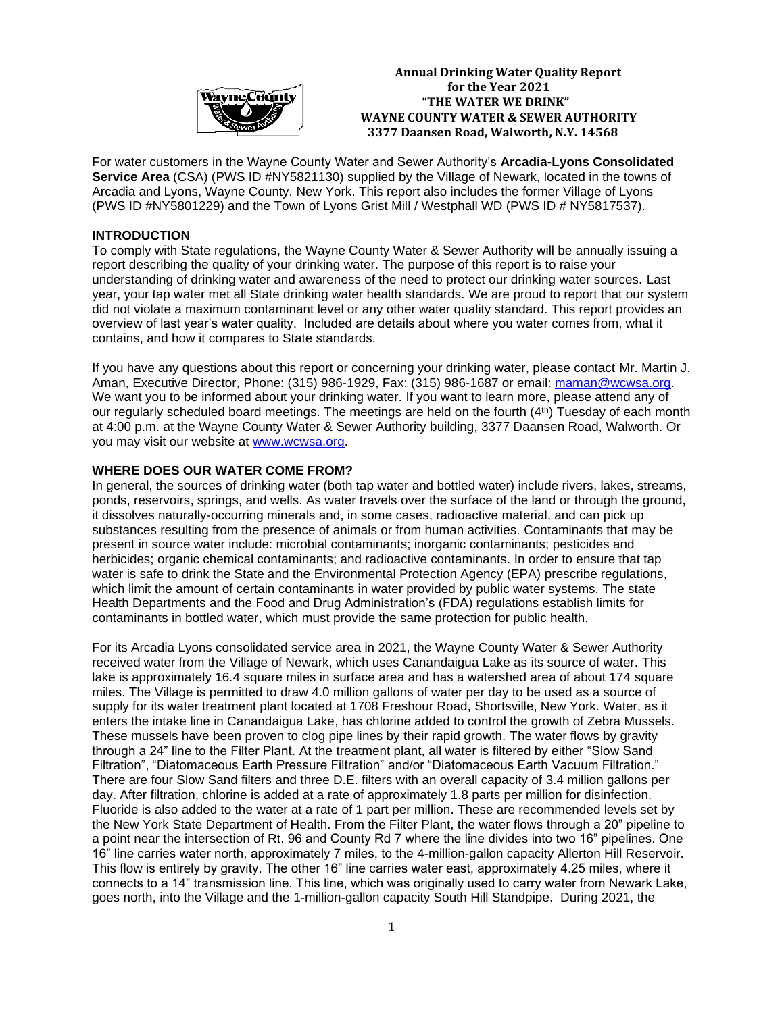

**Annual Drinking Water Quality Report Example 2021** for the Year 2021  **"THE WATER WE DRINK" WAYNE COUNTY WATER & SEWER AUTHORITY 3377 Daansen Road, Walworth, N.Y. 14568**

For water customers in the Wayne County Water and Sewer Authority's **Arcadia-Lyons Consolidated Service Area** (CSA) (PWS ID #NY5821130) supplied by the Village of Newark, located in the towns of Arcadia and Lyons, Wayne County, New York. This report also includes the former Village of Lyons (PWS ID #NY5801229) and the Town of Lyons Grist Mill / Westphall WD (PWS ID # NY5817537).

## **INTRODUCTION**

To comply with State regulations, the Wayne County Water & Sewer Authority will be annually issuing a report describing the quality of your drinking water. The purpose of this report is to raise your understanding of drinking water and awareness of the need to protect our drinking water sources. Last year, your tap water met all State drinking water health standards. We are proud to report that our system did not violate a maximum contaminant level or any other water quality standard. This report provides an overview of last year's water quality. Included are details about where you water comes from, what it contains, and how it compares to State standards.

If you have any questions about this report or concerning your drinking water, please contact Mr. Martin J. Aman, Executive Director, Phone: (315) 986-1929, Fax: (315) 986-1687 or email: [maman@wcwsa.org.](mailto:maman@wcwsa.org) We want you to be informed about your drinking water. If you want to learn more, please attend any of our regularly scheduled board meetings. The meetings are held on the fourth  $(4<sup>th</sup>)$  Tuesday of each month at 4:00 p.m. at the Wayne County Water & Sewer Authority building, 3377 Daansen Road, Walworth. Or you may visit our website at [www.wcwsa.org.](http://www.wcwsa.org/) 

# **WHERE DOES OUR WATER COME FROM?**

In general, the sources of drinking water (both tap water and bottled water) include rivers, lakes, streams, ponds, reservoirs, springs, and wells. As water travels over the surface of the land or through the ground, it dissolves naturally-occurring minerals and, in some cases, radioactive material, and can pick up substances resulting from the presence of animals or from human activities. Contaminants that may be present in source water include: microbial contaminants; inorganic contaminants; pesticides and herbicides; organic chemical contaminants; and radioactive contaminants. In order to ensure that tap water is safe to drink the State and the Environmental Protection Agency (EPA) prescribe regulations, which limit the amount of certain contaminants in water provided by public water systems. The state Health Departments and the Food and Drug Administration's (FDA) regulations establish limits for contaminants in bottled water, which must provide the same protection for public health.

For its Arcadia Lyons consolidated service area in 2021, the Wayne County Water & Sewer Authority received water from the Village of Newark, which uses Canandaigua Lake as its source of water. This lake is approximately 16.4 square miles in surface area and has a watershed area of about 174 square miles. The Village is permitted to draw 4.0 million gallons of water per day to be used as a source of supply for its water treatment plant located at 1708 Freshour Road, Shortsville, New York. Water, as it enters the intake line in Canandaigua Lake, has chlorine added to control the growth of Zebra Mussels. These mussels have been proven to clog pipe lines by their rapid growth. The water flows by gravity through a 24" line to the Filter Plant. At the treatment plant, all water is filtered by either "Slow Sand Filtration", "Diatomaceous Earth Pressure Filtration" and/or "Diatomaceous Earth Vacuum Filtration." There are four Slow Sand filters and three D.E. filters with an overall capacity of 3.4 million gallons per day. After filtration, chlorine is added at a rate of approximately 1.8 parts per million for disinfection. Fluoride is also added to the water at a rate of 1 part per million. These are recommended levels set by the New York State Department of Health. From the Filter Plant, the water flows through a 20" pipeline to a point near the intersection of Rt. 96 and County Rd 7 where the line divides into two 16" pipelines. One 16" line carries water north, approximately 7 miles, to the 4-million-gallon capacity Allerton Hill Reservoir. This flow is entirely by gravity. The other 16" line carries water east, approximately 4.25 miles, where it connects to a 14" transmission line. This line, which was originally used to carry water from Newark Lake, goes north, into the Village and the 1-million-gallon capacity South Hill Standpipe. During 2021, the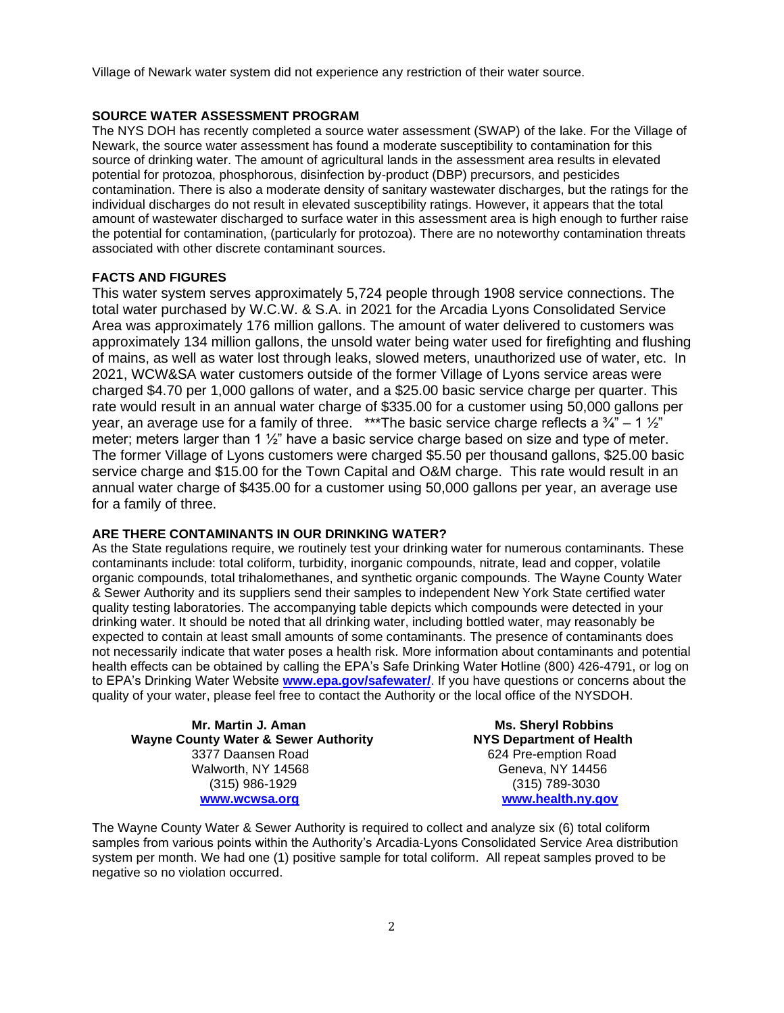Village of Newark water system did not experience any restriction of their water source.

#### **SOURCE WATER ASSESSMENT PROGRAM**

The NYS DOH has recently completed a source water assessment (SWAP) of the lake. For the Village of Newark, the source water assessment has found a moderate susceptibility to contamination for this source of drinking water. The amount of agricultural lands in the assessment area results in elevated potential for protozoa, phosphorous, disinfection by-product (DBP) precursors, and pesticides contamination. There is also a moderate density of sanitary wastewater discharges, but the ratings for the individual discharges do not result in elevated susceptibility ratings. However, it appears that the total amount of wastewater discharged to surface water in this assessment area is high enough to further raise the potential for contamination, (particularly for protozoa). There are no noteworthy contamination threats associated with other discrete contaminant sources.

### **FACTS AND FIGURES**

This water system serves approximately 5,724 people through 1908 service connections. The total water purchased by W.C.W. & S.A. in 2021 for the Arcadia Lyons Consolidated Service Area was approximately 176 million gallons. The amount of water delivered to customers was approximately 134 million gallons, the unsold water being water used for firefighting and flushing of mains, as well as water lost through leaks, slowed meters, unauthorized use of water, etc. In 2021, WCW&SA water customers outside of the former Village of Lyons service areas were charged \$4.70 per 1,000 gallons of water, and a \$25.00 basic service charge per quarter. This rate would result in an annual water charge of \$335.00 for a customer using 50,000 gallons per year, an average use for a family of three. \*\*\*The basic service charge reflects a  $\frac{3}{4}$  – 1  $\frac{1}{2}$ " meter; meters larger than 1  $\frac{1}{2}$ " have a basic service charge based on size and type of meter. The former Village of Lyons customers were charged \$5.50 per thousand gallons, \$25.00 basic service charge and \$15.00 for the Town Capital and O&M charge. This rate would result in an annual water charge of \$435.00 for a customer using 50,000 gallons per year, an average use for a family of three.

#### **ARE THERE CONTAMINANTS IN OUR DRINKING WATER?**

As the State regulations require, we routinely test your drinking water for numerous contaminants. These contaminants include: total coliform, turbidity, inorganic compounds, nitrate, lead and copper, volatile organic compounds, total trihalomethanes, and synthetic organic compounds. The Wayne County Water & Sewer Authority and its suppliers send their samples to independent New York State certified water quality testing laboratories. The accompanying table depicts which compounds were detected in your drinking water. It should be noted that all drinking water, including bottled water, may reasonably be expected to contain at least small amounts of some contaminants. The presence of contaminants does not necessarily indicate that water poses a health risk. More information about contaminants and potential health effects can be obtained by calling the EPA's Safe Drinking Water Hotline (800) 426-4791, or log on to EPA's Drinking Water Website **[www.epa.gov/safewater/](http://www.epa.gov/safewater/)**. If you have questions or concerns about the quality of your water, please feel free to contact the Authority or the local office of the NYSDOH.

**Mr. Martin J. Aman Ms. Sheryl Robbins Wayne County Water & Sewer Authority NYS Department of Health** 3377 Daansen Road 624 Pre-emption Road Walworth, NY 14568 Geneva, NY 14456 (315) 986-1929 (315) 789-3030  **[www.wcwsa.org](http://www.wcwsa.org/) [www.health.ny.gov](http://www.health.state.ny.us/)**

The Wayne County Water & Sewer Authority is required to collect and analyze six (6) total coliform samples from various points within the Authority's Arcadia-Lyons Consolidated Service Area distribution system per month. We had one (1) positive sample for total coliform. All repeat samples proved to be negative so no violation occurred.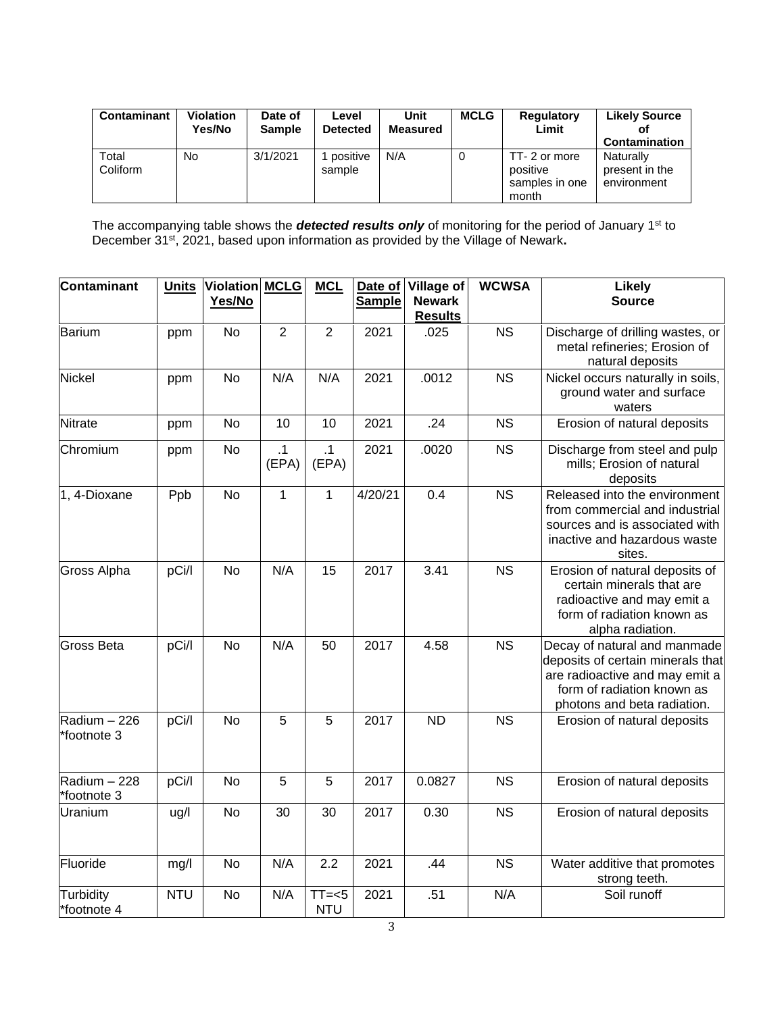| <b>Contaminant</b> | <b>Violation</b><br>Yes/No | Date of<br><b>Sample</b> | Level<br><b>Detected</b> | Unit<br><b>Measured</b> | <b>MCLG</b> | <b>Regulatory</b><br>Limit                          | <b>Likely Source</b><br>Contamination      |
|--------------------|----------------------------|--------------------------|--------------------------|-------------------------|-------------|-----------------------------------------------------|--------------------------------------------|
| Total<br>Coliform  | No.                        | 3/1/2021                 | positive<br>sample       | N/A                     | 0           | TT-2 or more<br>positive<br>samples in one<br>month | Naturally<br>present in the<br>environment |

The accompanying table shows the *detected results only* of monitoring for the period of January 1st to December 31<sup>st</sup>, 2021, based upon information as provided by the Village of Newark.

| Contaminant                 | <b>Units</b> | Violation MCLG<br>Yes/No |                    | <b>MCL</b>            | <b>Sample</b> | Date of Village of<br><b>Newark</b><br><b>Results</b> | <b>WCWSA</b> | <b>Likely</b><br><b>Source</b>                                                                                                                                   |
|-----------------------------|--------------|--------------------------|--------------------|-----------------------|---------------|-------------------------------------------------------|--------------|------------------------------------------------------------------------------------------------------------------------------------------------------------------|
| Barium                      | ppm          | <b>No</b>                | $\overline{2}$     | $\overline{2}$        | 2021          | .025                                                  | <b>NS</b>    | Discharge of drilling wastes, or<br>metal refineries; Erosion of<br>natural deposits                                                                             |
| Nickel                      | ppm          | No                       | N/A                | N/A                   | 2021          | .0012                                                 | <b>NS</b>    | Nickel occurs naturally in soils,<br>ground water and surface<br>waters                                                                                          |
| Nitrate                     | ppm          | No                       | 10                 | 10                    | 2021          | .24                                                   | <b>NS</b>    | Erosion of natural deposits                                                                                                                                      |
| Chromium                    | ppm          | No                       | $\cdot$ 1<br>(EPA) | .1<br>(EPA)           | 2021          | .0020                                                 | <b>NS</b>    | Discharge from steel and pulp<br>mills; Erosion of natural<br>deposits                                                                                           |
| 1, 4-Dioxane                | Ppb          | <b>No</b>                | $\mathbf{1}$       | $\mathbf{1}$          | 4/20/21       | 0.4                                                   | <b>NS</b>    | Released into the environment<br>from commercial and industrial<br>sources and is associated with<br>inactive and hazardous waste<br>sites.                      |
| Gross Alpha                 | pCi/l        | No                       | N/A                | 15                    | 2017          | 3.41                                                  | <b>NS</b>    | Erosion of natural deposits of<br>certain minerals that are<br>radioactive and may emit a<br>form of radiation known as<br>alpha radiation.                      |
| <b>Gross Beta</b>           | pCi/l        | No                       | N/A                | 50                    | 2017          | 4.58                                                  | <b>NS</b>    | Decay of natural and manmade<br>deposits of certain minerals that<br>are radioactive and may emit a<br>form of radiation known as<br>photons and beta radiation. |
| Radium - 226<br>*footnote 3 | pCi/l        | <b>No</b>                | 5                  | 5                     | 2017          | <b>ND</b>                                             | <b>NS</b>    | Erosion of natural deposits                                                                                                                                      |
| Radium - 228<br>*footnote 3 | pCi/l        | <b>No</b>                | 5                  | 5                     | 2017          | 0.0827                                                | <b>NS</b>    | Erosion of natural deposits                                                                                                                                      |
| Uranium                     | ug/l         | <b>No</b>                | 30                 | 30                    | 2017          | 0.30                                                  | <b>NS</b>    | Erosion of natural deposits                                                                                                                                      |
| Fluoride                    | mg/l         | <b>No</b>                | N/A                | 2.2                   | 2021          | .44                                                   | <b>NS</b>    | Water additive that promotes<br>strong teeth.                                                                                                                    |
| Turbidity<br>*footnote 4    | <b>NTU</b>   | No                       | N/A                | $TT=<5$<br><b>NTU</b> | 2021          | .51                                                   | N/A          | Soil runoff                                                                                                                                                      |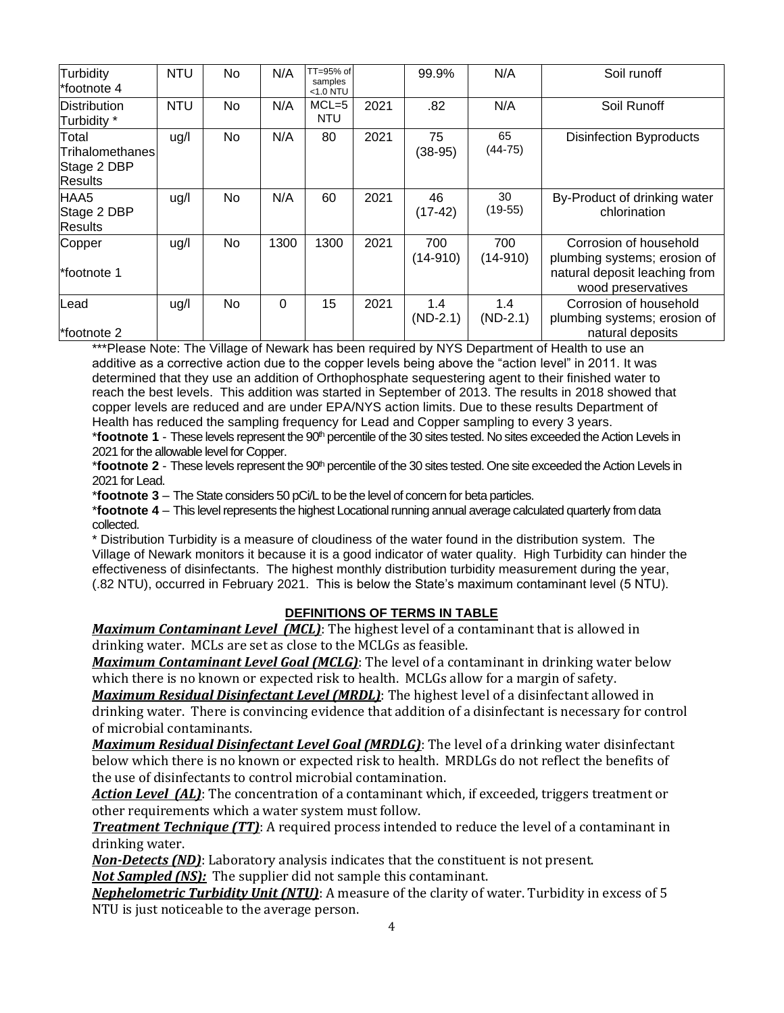| Turbidity<br>*footnote 4                                  | <b>NTU</b> | No | N/A  | TT=95% of<br>samples<br>$<$ 1.0 NTU |      | 99.9%             | N/A               | Soil runoff                                                                                                   |
|-----------------------------------------------------------|------------|----|------|-------------------------------------|------|-------------------|-------------------|---------------------------------------------------------------------------------------------------------------|
| Distribution<br>Turbidity *                               | <b>NTU</b> | No | N/A  | $MCL = 5$<br><b>NTU</b>             | 2021 | .82               | N/A               | Soil Runoff                                                                                                   |
| Total<br>Trihalomethanes<br>Stage 2 DBP<br><b>Results</b> | ug/l       | No | N/A  | 80                                  | 2021 | 75<br>$(38-95)$   | 65<br>$(44-75)$   | <b>Disinfection Byproducts</b>                                                                                |
| HAA5<br>Stage 2 DBP<br><b>Results</b>                     | ug/l       | No | N/A  | 60                                  | 2021 | 46<br>$(17-42)$   | 30<br>$(19-55)$   | By-Product of drinking water<br>chlorination                                                                  |
| Copper<br>*footnote 1                                     | ug/l       | No | 1300 | 1300                                | 2021 | 700<br>$(14-910)$ | 700<br>$(14-910)$ | Corrosion of household<br>plumbing systems; erosion of<br>natural deposit leaching from<br>wood preservatives |
| Lead<br>*footnote 2                                       | ug/l       | No | 0    | 15                                  | 2021 | 1.4<br>$(ND-2.1)$ | 1.4<br>$(ND-2.1)$ | Corrosion of household<br>plumbing systems; erosion of<br>natural deposits                                    |

\*\*\*Please Note: The Village of Newark has been required by NYS Department of Health to use an additive as a corrective action due to the copper levels being above the "action level" in 2011. It was determined that they use an addition of Orthophosphate sequestering agent to their finished water to reach the best levels. This addition was started in September of 2013. The results in 2018 showed that copper levels are reduced and are under EPA/NYS action limits. Due to these results Department of Health has reduced the sampling frequency for Lead and Copper sampling to every 3 years.

\***footnote 1** - These levels represent the 90<sup>th</sup> percentile of the 30 sites tested. No sites exceeded the Action Levels in 2021 for the allowable level for Copper.

\***footnote 2** - These levels represent the 90<sup>th</sup> percentile of the 30 sites tested. One site exceeded the Action Levels in 2021 for Lead.

\***footnote 3** – The State considers 50 pCi/L to be the level of concern for beta particles.

\***footnote 4** – This level represents the highest Locational running annual average calculated quarterly from data collected.

\* Distribution Turbidity is a measure of cloudiness of the water found in the distribution system. The Village of Newark monitors it because it is a good indicator of water quality. High Turbidity can hinder the effectiveness of disinfectants. The highest monthly distribution turbidity measurement during the year, (.82 NTU), occurred in February 2021. This is below the State's maximum contaminant level (5 NTU).

# **DEFINITIONS OF TERMS IN TABLE**

*Maximum Contaminant Level (MCL)*: The highest level of a contaminant that is allowed in drinking water. MCLs are set as close to the MCLGs as feasible.

*Maximum Contaminant Level Goal (MCLG)*: The level of a contaminant in drinking water below which there is no known or expected risk to health. MCLGs allow for a margin of safety.

*Maximum Residual Disinfectant Level (MRDL)*: The highest level of a disinfectant allowed in drinking water. There is convincing evidence that addition of a disinfectant is necessary for control of microbial contaminants.

*Maximum Residual Disinfectant Level Goal (MRDLG)*: The level of a drinking water disinfectant below which there is no known or expected risk to health. MRDLGs do not reflect the benefits of the use of disinfectants to control microbial contamination.

*Action Level (AL)*: The concentration of a contaminant which, if exceeded, triggers treatment or other requirements which a water system must follow.

*Treatment Technique (TT)*: A required process intended to reduce the level of a contaminant in drinking water.

*Non-Detects (ND)*: Laboratory analysis indicates that the constituent is not present.

*Not Sampled (NS):* The supplier did not sample this contaminant.

*Nephelometric Turbidity Unit (NTU)*: A measure of the clarity of water. Turbidity in excess of 5 NTU is just noticeable to the average person.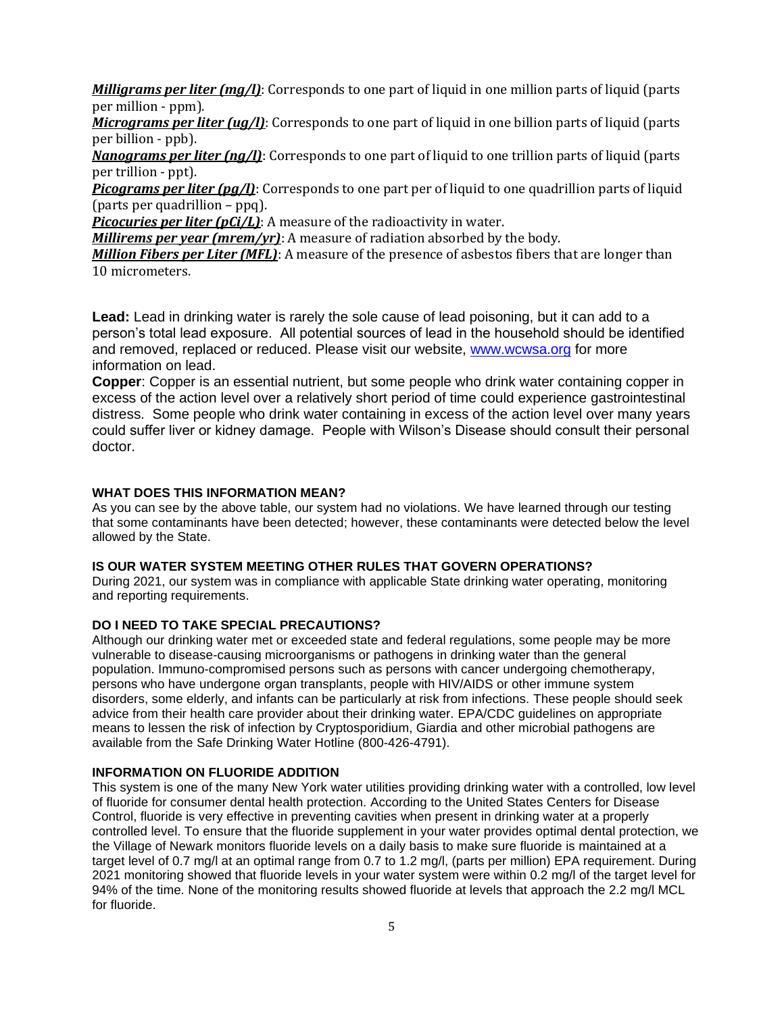*Milligrams per liter (mg/l)*: Corresponds to one part of liquid in one million parts of liquid (parts per million - ppm).

*Micrograms per liter (ug/l)*: Corresponds to one part of liquid in one billion parts of liquid (parts per billion - ppb).

*Nanograms per liter (ng/l)*: Corresponds to one part of liquid to one trillion parts of liquid (parts per trillion - ppt).

*Picograms per liter (pg/l)*: Corresponds to one part per of liquid to one quadrillion parts of liquid (parts per quadrillion – ppq).

*Picocuries per liter (pCi/L)*: A measure of the radioactivity in water.

*Millirems per year (mrem/yr)*: A measure of radiation absorbed by the body.

*Million Fibers per Liter (MFL)*: A measure of the presence of asbestos fibers that are longer than 10 micrometers.

**Lead:** Lead in drinking water is rarely the sole cause of lead poisoning, but it can add to a person's total lead exposure. All potential sources of lead in the household should be identified and removed, replaced or reduced. Please visit our website, [www.wcwsa.org](http://www.wcwsa.org/) for more information on lead.

**Copper**: Copper is an essential nutrient, but some people who drink water containing copper in excess of the action level over a relatively short period of time could experience gastrointestinal distress. Some people who drink water containing in excess of the action level over many years could suffer liver or kidney damage. People with Wilson's Disease should consult their personal doctor.

# **WHAT DOES THIS INFORMATION MEAN?**

As you can see by the above table, our system had no violations. We have learned through our testing that some contaminants have been detected; however, these contaminants were detected below the level allowed by the State.

## **IS OUR WATER SYSTEM MEETING OTHER RULES THAT GOVERN OPERATIONS?**

During 2021, our system was in compliance with applicable State drinking water operating, monitoring and reporting requirements.

# **DO I NEED TO TAKE SPECIAL PRECAUTIONS?**

Although our drinking water met or exceeded state and federal regulations, some people may be more vulnerable to disease-causing microorganisms or pathogens in drinking water than the general population. Immuno-compromised persons such as persons with cancer undergoing chemotherapy, persons who have undergone organ transplants, people with HIV/AIDS or other immune system disorders, some elderly, and infants can be particularly at risk from infections. These people should seek advice from their health care provider about their drinking water. EPA/CDC guidelines on appropriate means to lessen the risk of infection by Cryptosporidium, Giardia and other microbial pathogens are available from the Safe Drinking Water Hotline (800-426-4791).

#### **INFORMATION ON FLUORIDE ADDITION**

This system is one of the many New York water utilities providing drinking water with a controlled, low level of fluoride for consumer dental health protection. According to the United States Centers for Disease Control, fluoride is very effective in preventing cavities when present in drinking water at a properly controlled level. To ensure that the fluoride supplement in your water provides optimal dental protection, we the Village of Newark monitors fluoride levels on a daily basis to make sure fluoride is maintained at a target level of 0.7 mg/l at an optimal range from 0.7 to 1.2 mg/l, (parts per million) EPA requirement. During 2021 monitoring showed that fluoride levels in your water system were within 0.2 mg/l of the target level for 94% of the time. None of the monitoring results showed fluoride at levels that approach the 2.2 mg/l MCL for fluoride.